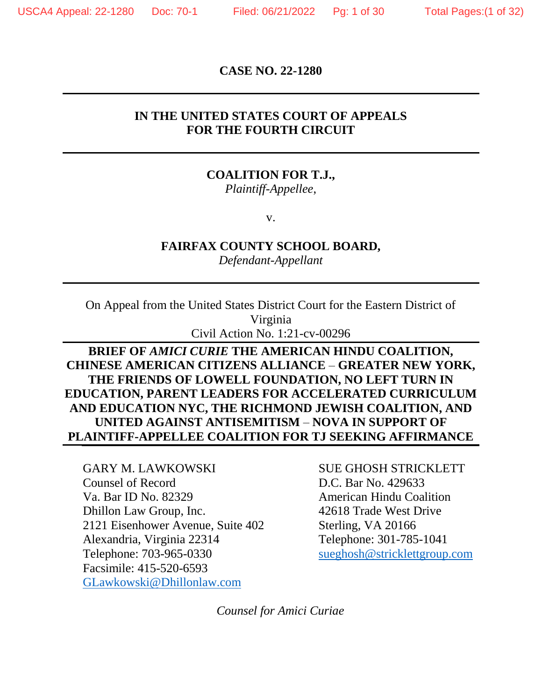**CASE NO. 22-1280**

#### **IN THE UNITED STATES COURT OF APPEALS FOR THE FOURTH CIRCUIT**

## **COALITION FOR T.J.,**

*Plaintiff-Appellee*,

v.

#### **FAIRFAX COUNTY SCHOOL BOARD,**

*Defendant-Appellant*

On Appeal from the United States District Court for the Eastern District of Virginia Civil Action No. 1:21-cv-00296

## **BRIEF OF** *AMICI CURIE* **THE AMERICAN HINDU COALITION, CHINESE AMERICAN CITIZENS ALLIANCE** – **GREATER NEW YORK, THE FRIENDS OF LOWELL FOUNDATION, NO LEFT TURN IN EDUCATION, PARENT LEADERS FOR ACCELERATED CURRICULUM AND EDUCATION NYC, THE RICHMOND JEWISH COALITION, AND UNITED AGAINST ANTISEMITISM** – **NOVA IN SUPPORT OF PLAINTIFF-APPELLEE COALITION FOR TJ SEEKING AFFIRMANCE**

GARY M. LAWKOWSKI SUE GHOSH STRICKLETT Counsel of Record D.C. Bar No. 429633 Va. Bar ID No. 82329 American Hindu Coalition Dhillon Law Group, Inc. 42618 Trade West Drive 2121 Eisenhower Avenue, Suite 402 Sterling, VA 20166 Alexandria, Virginia 22314 Telephone: 301-785-1041 Telephone: 703-965-0330 [sueghosh@stricklettgroup.com](mailto:sueghosh@stricklettgroup.com) Facsimile: 415-520-6593 [GLawkowski@Dhillonlaw.com](mailto:GLawkowski@Dhillonlaw.com)

*Counsel for Amici Curiae*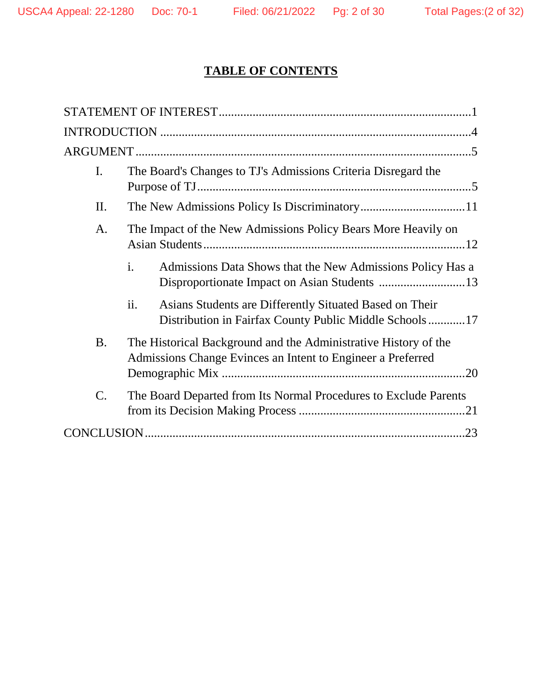# **TABLE OF CONTENTS**

| I.              | The Board's Changes to TJ's Admissions Criteria Disregard the                                                                  |  |
|-----------------|--------------------------------------------------------------------------------------------------------------------------------|--|
| II.             |                                                                                                                                |  |
| A.              | The Impact of the New Admissions Policy Bears More Heavily on                                                                  |  |
|                 | i.<br>Admissions Data Shows that the New Admissions Policy Has a                                                               |  |
|                 | ii.<br>Asians Students are Differently Situated Based on Their<br>Distribution in Fairfax County Public Middle Schools17       |  |
| <b>B.</b>       | The Historical Background and the Administrative History of the<br>Admissions Change Evinces an Intent to Engineer a Preferred |  |
| $\mathcal{C}$ . | The Board Departed from Its Normal Procedures to Exclude Parents                                                               |  |
|                 |                                                                                                                                |  |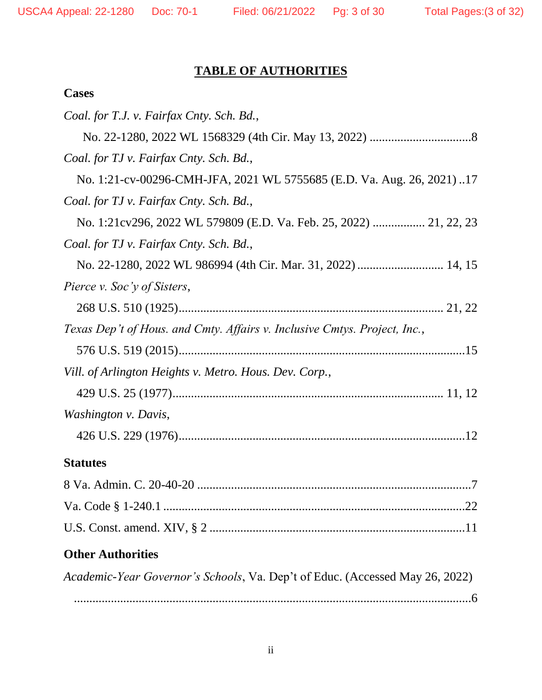# **TABLE OF AUTHORITIES**

## **Cases**

| Coal. for T.J. v. Fairfax Cnty. Sch. Bd.,                                    |
|------------------------------------------------------------------------------|
|                                                                              |
| Coal. for TJ v. Fairfax Cnty. Sch. Bd.,                                      |
| No. 1:21-cv-00296-CMH-JFA, 2021 WL 5755685 (E.D. Va. Aug. 26, 2021)17        |
| Coal. for TJ v. Fairfax Cnty. Sch. Bd.,                                      |
|                                                                              |
| Coal. for TJ v. Fairfax Cnty. Sch. Bd.,                                      |
|                                                                              |
| Pierce v. Soc'y of Sisters,                                                  |
|                                                                              |
| Texas Dep't of Hous. and Cmty. Affairs v. Inclusive Cmtys. Project, Inc.,    |
|                                                                              |
| Vill. of Arlington Heights v. Metro. Hous. Dev. Corp.,                       |
|                                                                              |
| Washington v. Davis,                                                         |
|                                                                              |
| <b>Statutes</b>                                                              |
|                                                                              |
|                                                                              |
|                                                                              |
| <b>Other Authorities</b>                                                     |
| Academic-Year Governor's Schools, Va. Dep't of Educ. (Accessed May 26, 2022) |

.................................................................................................................................6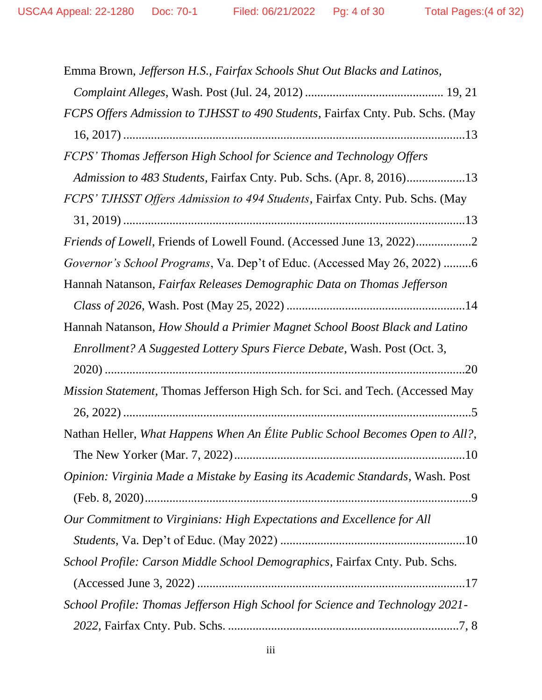| Emma Brown, Jefferson H.S., Fairfax Schools Shut Out Blacks and Latinos,       |
|--------------------------------------------------------------------------------|
|                                                                                |
| FCPS Offers Admission to TJHSST to 490 Students, Fairfax Cnty. Pub. Schs. (May |
|                                                                                |
| FCPS' Thomas Jefferson High School for Science and Technology Offers           |
| Admission to 483 Students, Fairfax Cnty. Pub. Schs. (Apr. 8, 2016)13           |
| FCPS' TJHSST Offers Admission to 494 Students, Fairfax Cnty. Pub. Schs. (May   |
|                                                                                |
|                                                                                |
| Governor's School Programs, Va. Dep't of Educ. (Accessed May 26, 2022) 6       |
| Hannah Natanson, Fairfax Releases Demographic Data on Thomas Jefferson         |
|                                                                                |
| Hannah Natanson, How Should a Primier Magnet School Boost Black and Latino     |
| Enrollment? A Suggested Lottery Spurs Fierce Debate, Wash. Post (Oct. 3,       |
|                                                                                |
| Mission Statement, Thomas Jefferson High Sch. for Sci. and Tech. (Accessed May |
|                                                                                |
| Nathan Heller, What Happens When An Élite Public School Becomes Open to All?,  |
|                                                                                |
| Opinion: Virginia Made a Mistake by Easing its Academic Standards, Wash. Post  |
|                                                                                |
| Our Commitment to Virginians: High Expectations and Excellence for All         |
|                                                                                |
| School Profile: Carson Middle School Demographics, Fairfax Cnty. Pub. Schs.    |
|                                                                                |
| School Profile: Thomas Jefferson High School for Science and Technology 2021-  |
|                                                                                |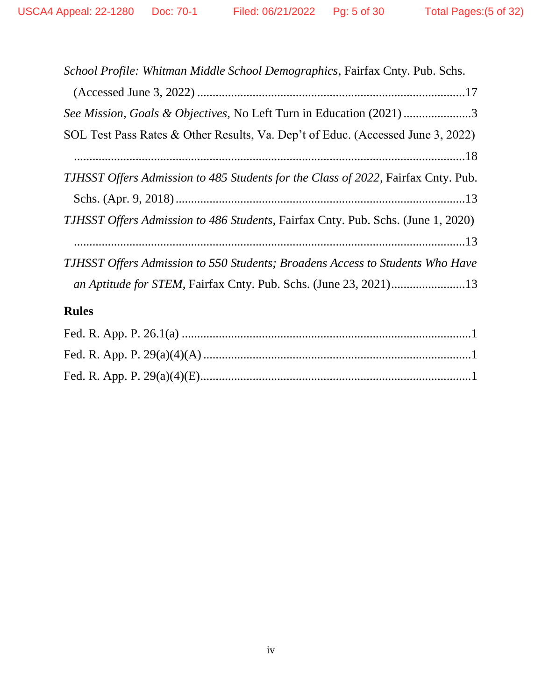| School Profile: Whitman Middle School Demographics, Fairfax Cnty. Pub. Schs.            |
|-----------------------------------------------------------------------------------------|
|                                                                                         |
| See Mission, Goals & Objectives, No Left Turn in Education (2021) 3                     |
| SOL Test Pass Rates & Other Results, Va. Dep't of Educ. (Accessed June 3, 2022)         |
|                                                                                         |
| TJHSST Offers Admission to 485 Students for the Class of 2022, Fairfax Cnty. Pub.       |
|                                                                                         |
| <i>TJHSST Offers Admission to 486 Students, Fairfax Cnty. Pub. Schs. (June 1, 2020)</i> |
|                                                                                         |
| <b>TJHSST Offers Admission to 550 Students; Broadens Access to Students Who Have</b>    |
| an Aptitude for STEM, Fairfax Cnty. Pub. Schs. (June 23, 2021)13                        |
|                                                                                         |

# **Rules**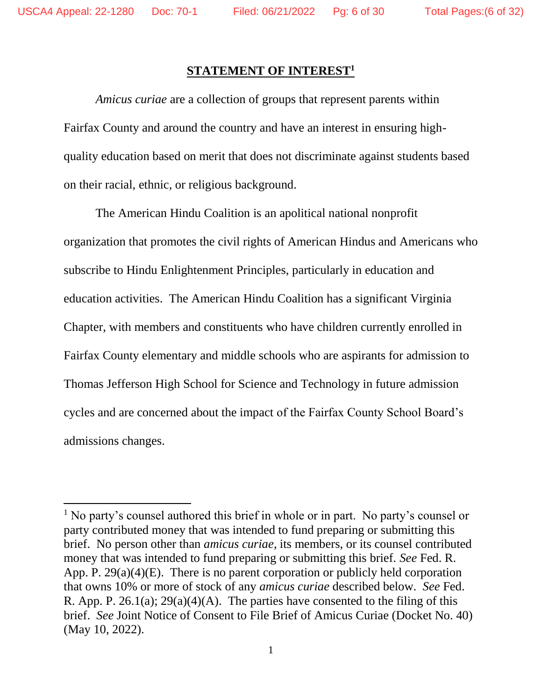$\overline{\phantom{a}}$ 

#### **STATEMENT OF INTEREST<sup>1</sup>**

*Amicus curiae* are a collection of groups that represent parents within Fairfax County and around the country and have an interest in ensuring highquality education based on merit that does not discriminate against students based on their racial, ethnic, or religious background.

The American Hindu Coalition is an apolitical national nonprofit organization that promotes the civil rights of American Hindus and Americans who subscribe to Hindu Enlightenment Principles, particularly in education and education activities. The American Hindu Coalition has a significant Virginia Chapter, with members and constituents who have children currently enrolled in Fairfax County elementary and middle schools who are aspirants for admission to Thomas Jefferson High School for Science and Technology in future admission cycles and are concerned about the impact of the Fairfax County School Board's admissions changes.

 $<sup>1</sup>$  No party's counsel authored this brief in whole or in part. No party's counsel or</sup> party contributed money that was intended to fund preparing or submitting this brief. No person other than *amicus curiae*, its members, or its counsel contributed money that was intended to fund preparing or submitting this brief. *See* Fed. R. App. P. 29(a)(4)(E). There is no parent corporation or publicly held corporation that owns 10% or more of stock of any *amicus curiae* described below. *See* Fed. R. App. P.  $26.1(a)$ ;  $29(a)(4)(A)$ . The parties have consented to the filing of this brief. *See* Joint Notice of Consent to File Brief of Amicus Curiae (Docket No. 40) (May 10, 2022).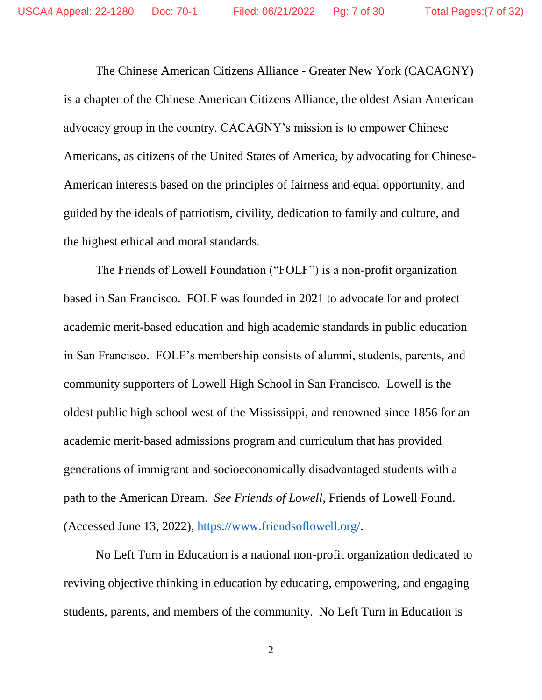The Chinese American Citizens Alliance - Greater New York (CACAGNY) is a chapter of the Chinese American Citizens Alliance, the oldest Asian American advocacy group in the country. CACAGNY's mission is to empower Chinese Americans, as citizens of the United States of America, by advocating for Chinese-American interests based on the principles of fairness and equal opportunity, and guided by the ideals of patriotism, civility, dedication to family and culture, and the highest ethical and moral standards.

The Friends of Lowell Foundation ("FOLF") is a non-profit organization based in San Francisco. FOLF was founded in 2021 to advocate for and protect academic merit-based education and high academic standards in public education in San Francisco. FOLF's membership consists of alumni, students, parents, and community supporters of Lowell High School in San Francisco. Lowell is the oldest public high school west of the Mississippi, and renowned since 1856 for an academic merit-based admissions program and curriculum that has provided generations of immigrant and socioeconomically disadvantaged students with a path to the American Dream. *See Friends of Lowell*, Friends of Lowell Found. (Accessed June 13, 2022), [https://www.friendsoflowell.org/.](https://www.friendsoflowell.org/)

No Left Turn in Education is a national non-profit organization dedicated to reviving objective thinking in education by educating, empowering, and engaging students, parents, and members of the community. No Left Turn in Education is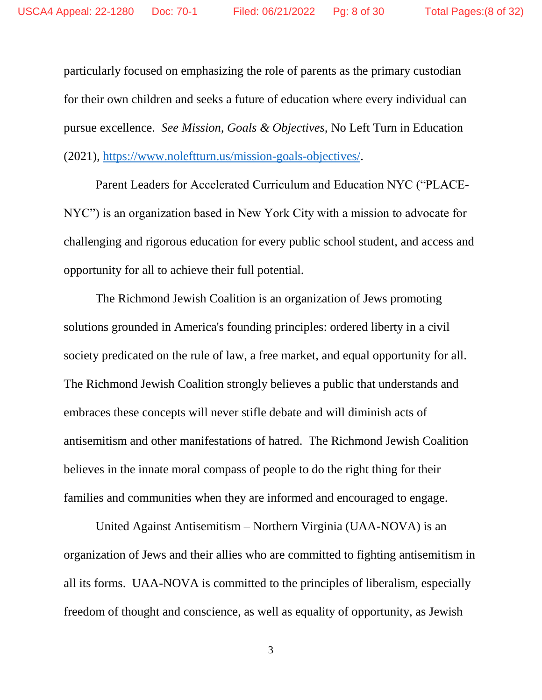particularly focused on emphasizing the role of parents as the primary custodian for their own children and seeks a future of education where every individual can pursue excellence. *See Mission, Goals & Objectives,* No Left Turn in Education (2021), [https://www.noleftturn.us/mission-goals-objectives/.](https://www.noleftturn.us/mission-goals-objectives/)

Parent Leaders for Accelerated Curriculum and Education NYC ("PLACE-NYC") is an organization based in New York City with a mission to advocate for challenging and rigorous education for every public school student, and access and opportunity for all to achieve their full potential.

The Richmond Jewish Coalition is an organization of Jews promoting solutions grounded in America's founding principles: ordered liberty in a civil society predicated on the rule of law, a free market, and equal opportunity for all. The Richmond Jewish Coalition strongly believes a public that understands and embraces these concepts will never stifle debate and will diminish acts of antisemitism and other manifestations of hatred. The Richmond Jewish Coalition believes in the innate moral compass of people to do the right thing for their families and communities when they are informed and encouraged to engage.

United Against Antisemitism – Northern Virginia (UAA-NOVA) is an organization of Jews and their allies who are committed to fighting antisemitism in all its forms. UAA-NOVA is committed to the principles of liberalism, especially freedom of thought and conscience, as well as equality of opportunity, as Jewish

3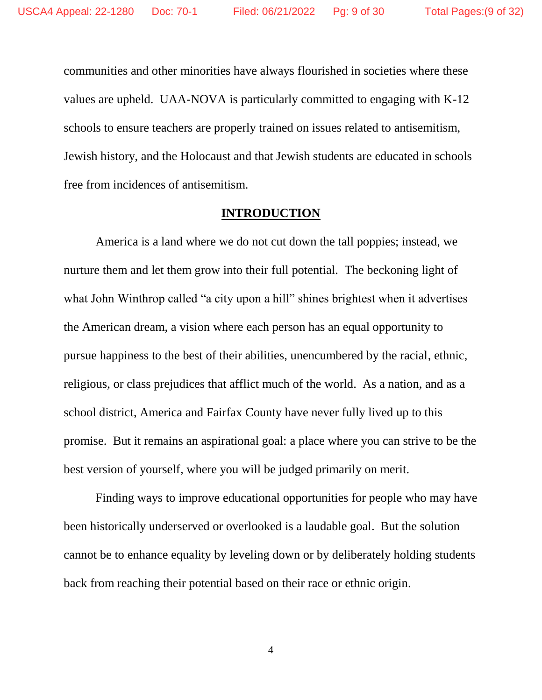communities and other minorities have always flourished in societies where these values are upheld. UAA-NOVA is particularly committed to engaging with K-12 schools to ensure teachers are properly trained on issues related to antisemitism, Jewish history, and the Holocaust and that Jewish students are educated in schools free from incidences of antisemitism.

#### **INTRODUCTION**

America is a land where we do not cut down the tall poppies; instead, we nurture them and let them grow into their full potential. The beckoning light of what John Winthrop called "a city upon a hill" shines brightest when it advertises the American dream, a vision where each person has an equal opportunity to pursue happiness to the best of their abilities, unencumbered by the racial, ethnic, religious, or class prejudices that afflict much of the world. As a nation, and as a school district, America and Fairfax County have never fully lived up to this promise. But it remains an aspirational goal: a place where you can strive to be the best version of yourself, where you will be judged primarily on merit.

Finding ways to improve educational opportunities for people who may have been historically underserved or overlooked is a laudable goal. But the solution cannot be to enhance equality by leveling down or by deliberately holding students back from reaching their potential based on their race or ethnic origin.

4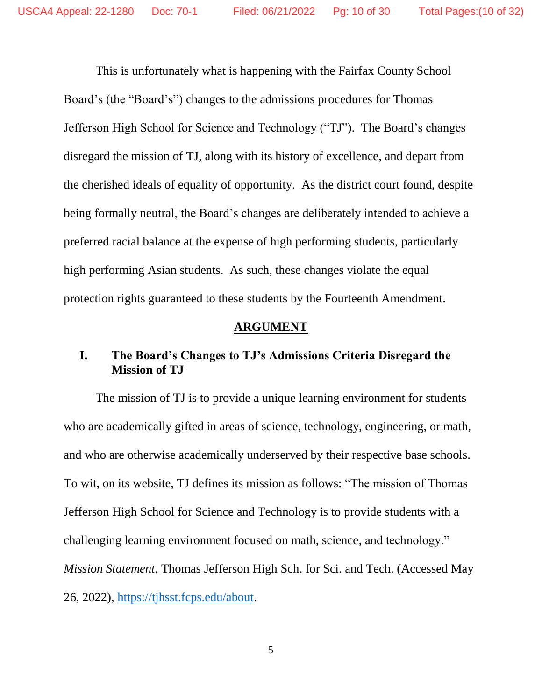This is unfortunately what is happening with the Fairfax County School Board's (the "Board's") changes to the admissions procedures for Thomas Jefferson High School for Science and Technology ("TJ"). The Board's changes disregard the mission of TJ, along with its history of excellence, and depart from the cherished ideals of equality of opportunity. As the district court found, despite being formally neutral, the Board's changes are deliberately intended to achieve a preferred racial balance at the expense of high performing students, particularly high performing Asian students. As such, these changes violate the equal protection rights guaranteed to these students by the Fourteenth Amendment.

#### **ARGUMENT**

## **I. The Board's Changes to TJ's Admissions Criteria Disregard the Mission of TJ**

The mission of TJ is to provide a unique learning environment for students who are academically gifted in areas of science, technology, engineering, or math, and who are otherwise academically underserved by their respective base schools. To wit, on its website, TJ defines its mission as follows: "The mission of Thomas Jefferson High School for Science and Technology is to provide students with a challenging learning environment focused on math, science, and technology." *Mission Statement*, Thomas Jefferson High Sch. for Sci. and Tech. (Accessed May 26, 2022), [https://tjhsst.fcps.edu/about.](https://tjhsst.fcps.edu/about)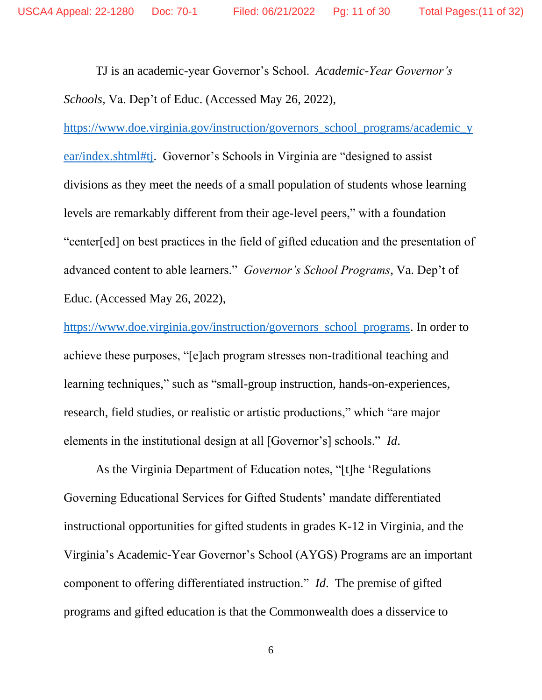TJ is an academic-year Governor's School. *Academic-Year Governor's Schools*, Va. Dep't of Educ. (Accessed May 26, 2022),

[https://www.doe.virginia.gov/instruction/governors\\_school\\_programs/academic\\_y](https://www.doe.virginia.gov/instruction/governors_school_programs/academic_year/index.shtml#tj) [ear/index.shtml#tj.](https://www.doe.virginia.gov/instruction/governors_school_programs/academic_year/index.shtml#tj) Governor's Schools in Virginia are "designed to assist divisions as they meet the needs of a small population of students whose learning levels are remarkably different from their age-level peers," with a foundation "center[ed] on best practices in the field of gifted education and the presentation of advanced content to able learners." *Governor's School Programs*, Va. Dep't of Educ. (Accessed May 26, 2022),

[https://www.doe.virginia.gov/instruction/governors\\_school\\_programs.](https://www.doe.virginia.gov/instruction/governors_school_programs/index.shtml#:~:text=The%20Governor%27s%20School%20programs%20are%20administered%20by%20the,direct%20responsibility%20for%20the%20logistics%20of%20the%20program) In order to achieve these purposes, "[e]ach program stresses non-traditional teaching and learning techniques," such as "small-group instruction, hands-on-experiences, research, field studies, or realistic or artistic productions," which "are major elements in the institutional design at all [Governor's] schools." *Id*.

As the Virginia Department of Education notes, "[t]he 'Regulations Governing Educational Services for Gifted Students' mandate differentiated instructional opportunities for gifted students in grades K-12 in Virginia, and the Virginia's Academic-Year Governor's School (AYGS) Programs are an important component to offering differentiated instruction." *Id*. The premise of gifted programs and gifted education is that the Commonwealth does a disservice to

6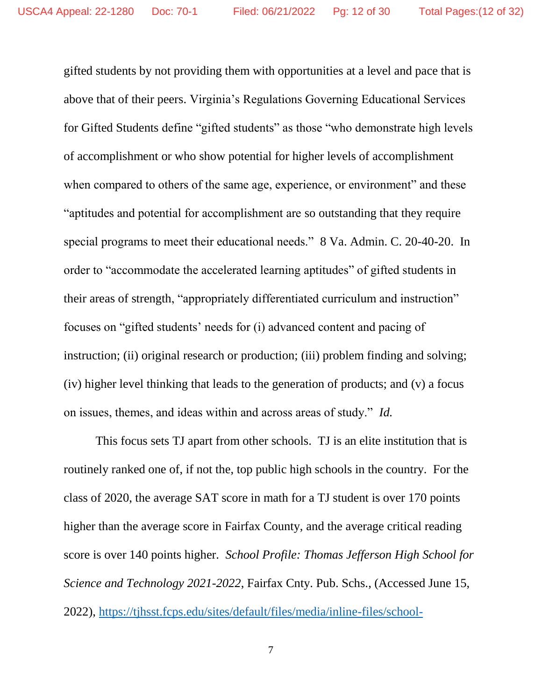gifted students by not providing them with opportunities at a level and pace that is above that of their peers. Virginia's Regulations Governing Educational Services for Gifted Students define "gifted students" as those "who demonstrate high levels of accomplishment or who show potential for higher levels of accomplishment when compared to others of the same age, experience, or environment" and these "aptitudes and potential for accomplishment are so outstanding that they require special programs to meet their educational needs." 8 Va. Admin. C. 20-40-20. In order to "accommodate the accelerated learning aptitudes" of gifted students in their areas of strength, "appropriately differentiated curriculum and instruction" focuses on "gifted students' needs for (i) advanced content and pacing of instruction; (ii) original research or production; (iii) problem finding and solving; (iv) higher level thinking that leads to the generation of products; and (v) a focus on issues, themes, and ideas within and across areas of study." *Id.*

This focus sets TJ apart from other schools. TJ is an elite institution that is routinely ranked one of, if not the, top public high schools in the country. For the class of 2020, the average SAT score in math for a TJ student is over 170 points higher than the average score in Fairfax County, and the average critical reading score is over 140 points higher. *School Profile: Thomas Jefferson High School for Science and Technology 2021-2022*, Fairfax Cnty. Pub. Schs., (Accessed June 15, 2022), [https://tjhsst.fcps.edu/sites/default/files/media/inline-files/school-](https://tjhsst.fcps.edu/sites/default/files/media/inline-files/school-profile%202021-22_0.pdf)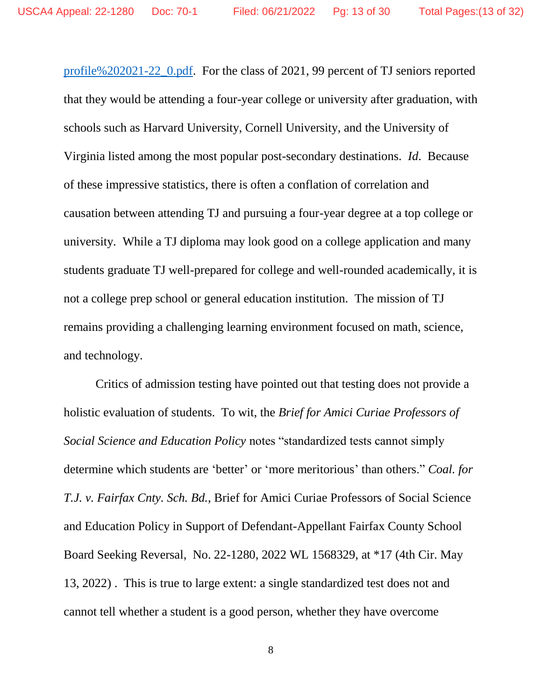[profile%202021-22\\_0.pdf.](https://tjhsst.fcps.edu/sites/default/files/media/inline-files/school-profile%202021-22_0.pdf) For the class of 2021, 99 percent of TJ seniors reported that they would be attending a four-year college or university after graduation, with schools such as Harvard University, Cornell University, and the University of Virginia listed among the most popular post-secondary destinations. *Id*. Because of these impressive statistics, there is often a conflation of correlation and causation between attending TJ and pursuing a four-year degree at a top college or university. While a TJ diploma may look good on a college application and many students graduate TJ well-prepared for college and well-rounded academically, it is not a college prep school or general education institution. The mission of TJ remains providing a challenging learning environment focused on math, science, and technology.

Critics of admission testing have pointed out that testing does not provide a holistic evaluation of students. To wit, the *Brief for Amici Curiae Professors of Social Science and Education Policy* notes "standardized tests cannot simply determine which students are 'better' or 'more meritorious' than others." *Coal. for T.J. v. Fairfax Cnty. Sch. Bd.*, Brief for Amici Curiae Professors of Social Science and Education Policy in Support of Defendant-Appellant Fairfax County School Board Seeking Reversal, No. 22-1280, 2022 WL 1568329, at \*17 (4th Cir. May 13, 2022) . This is true to large extent: a single standardized test does not and cannot tell whether a student is a good person, whether they have overcome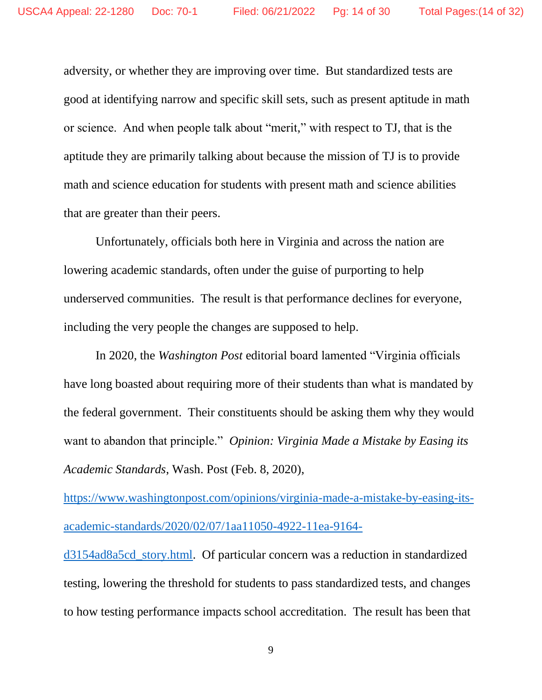adversity, or whether they are improving over time. But standardized tests are good at identifying narrow and specific skill sets, such as present aptitude in math or science. And when people talk about "merit," with respect to TJ, that is the aptitude they are primarily talking about because the mission of TJ is to provide math and science education for students with present math and science abilities that are greater than their peers.

Unfortunately, officials both here in Virginia and across the nation are lowering academic standards, often under the guise of purporting to help underserved communities. The result is that performance declines for everyone, including the very people the changes are supposed to help.

In 2020, the *Washington Post* editorial board lamented "Virginia officials have long boasted about requiring more of their students than what is mandated by the federal government. Their constituents should be asking them why they would want to abandon that principle." *Opinion: Virginia Made a Mistake by Easing its Academic Standards*, Wash. Post (Feb. 8, 2020),

[https://www.washingtonpost.com/opinions/virginia-made-a-mistake-by-easing-its](https://www.washingtonpost.com/opinions/virginia-made-a-mistake-by-easing-its-academic-standards/2020/02/07/1aa11050-4922-11ea-9164-d3154ad8a5cd_story.html)[academic-standards/2020/02/07/1aa11050-4922-11ea-9164-](https://www.washingtonpost.com/opinions/virginia-made-a-mistake-by-easing-its-academic-standards/2020/02/07/1aa11050-4922-11ea-9164-d3154ad8a5cd_story.html)

[d3154ad8a5cd\\_story.html.](https://www.washingtonpost.com/opinions/virginia-made-a-mistake-by-easing-its-academic-standards/2020/02/07/1aa11050-4922-11ea-9164-d3154ad8a5cd_story.html) Of particular concern was a reduction in standardized testing, lowering the threshold for students to pass standardized tests, and changes to how testing performance impacts school accreditation. The result has been that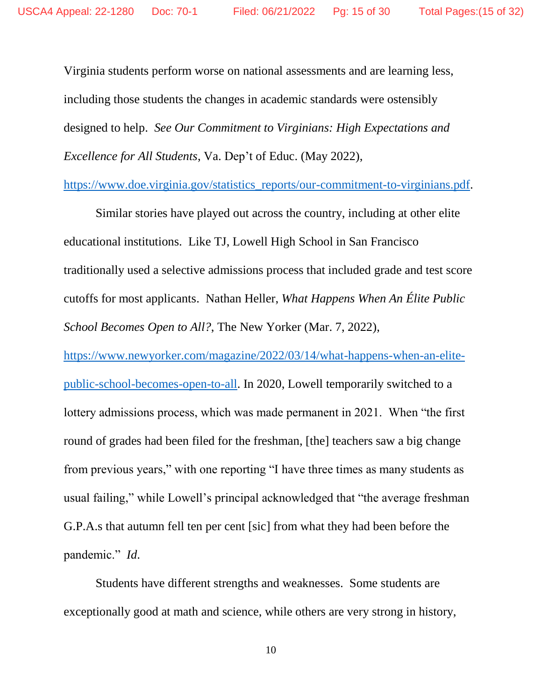Virginia students perform worse on national assessments and are learning less, including those students the changes in academic standards were ostensibly designed to help. *See Our Commitment to Virginians: High Expectations and Excellence for All Students*, Va. Dep't of Educ. (May 2022),

[https://www.doe.virginia.gov/statistics\\_reports/our-commitment-to-virginians.pdf.](https://www.doe.virginia.gov/statistics_reports/our-commitment-to-virginians.pdf)

Similar stories have played out across the country, including at other elite educational institutions. Like TJ, Lowell High School in San Francisco traditionally used a selective admissions process that included grade and test score cutoffs for most applicants. Nathan Heller, *What Happens When An Élite Public School Becomes Open to All?*, The New Yorker (Mar. 7, 2022), [https://www.newyorker.com/magazine/2022/03/14/what-happens-when-an-elite](https://www.newyorker.com/magazine/2022/03/14/what-happens-when-an-elite-public-school-becomes-open-to-all)[public-school-becomes-open-to-all.](https://www.newyorker.com/magazine/2022/03/14/what-happens-when-an-elite-public-school-becomes-open-to-all) In 2020, Lowell temporarily switched to a lottery admissions process, which was made permanent in 2021. When "the first round of grades had been filed for the freshman, [the] teachers saw a big change from previous years," with one reporting "I have three times as many students as usual failing," while Lowell's principal acknowledged that "the average freshman G.P.A.s that autumn fell ten per cent [sic] from what they had been before the pandemic." *Id*.

Students have different strengths and weaknesses. Some students are exceptionally good at math and science, while others are very strong in history,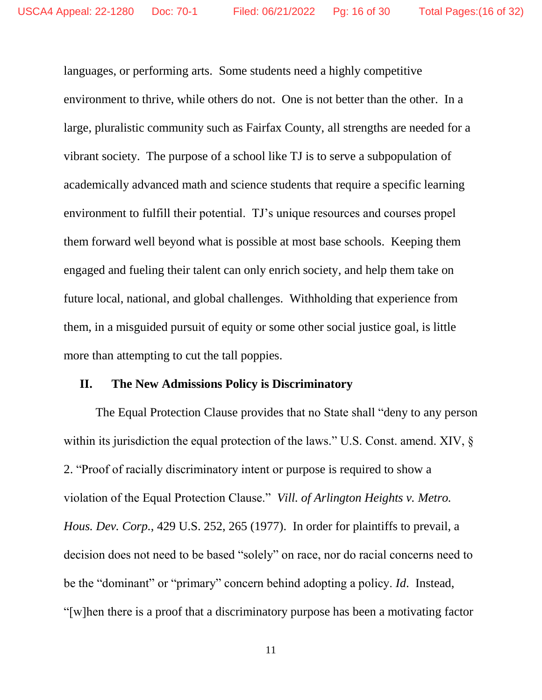languages, or performing arts. Some students need a highly competitive environment to thrive, while others do not. One is not better than the other. In a large, pluralistic community such as Fairfax County, all strengths are needed for a vibrant society. The purpose of a school like TJ is to serve a subpopulation of academically advanced math and science students that require a specific learning environment to fulfill their potential. TJ's unique resources and courses propel them forward well beyond what is possible at most base schools. Keeping them engaged and fueling their talent can only enrich society, and help them take on future local, national, and global challenges. Withholding that experience from them, in a misguided pursuit of equity or some other social justice goal, is little more than attempting to cut the tall poppies.

#### **II. The New Admissions Policy is Discriminatory**

The Equal Protection Clause provides that no State shall "deny to any person within its jurisdiction the equal protection of the laws." U.S. Const. amend. XIV, § 2. "Proof of racially discriminatory intent or purpose is required to show a violation of the Equal Protection Clause." *Vill. of Arlington Heights v. Metro. Hous. Dev. Corp.*, 429 U.S. 252, 265 (1977). In order for plaintiffs to prevail, a decision does not need to be based "solely" on race, nor do racial concerns need to be the "dominant" or "primary" concern behind adopting a policy. *Id*. Instead, "[w]hen there is a proof that a discriminatory purpose has been a motivating factor

11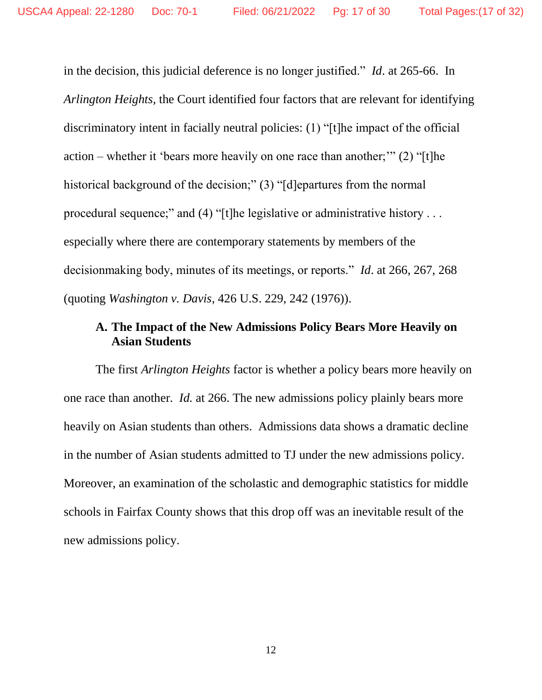in the decision, this judicial deference is no longer justified." *Id*. at 265-66. In *Arlington Heights*, the Court identified four factors that are relevant for identifying discriminatory intent in facially neutral policies: (1) "[t]he impact of the official action – whether it 'bears more heavily on one race than another;'" (2) "[t]he historical background of the decision;" (3) "[d]epartures from the normal procedural sequence;" and (4) "[t]he legislative or administrative history . . . especially where there are contemporary statements by members of the decisionmaking body, minutes of its meetings, or reports." *Id*. at 266, 267, 268 (quoting *Washington v. Davis*, 426 U.S. 229, 242 (1976)).

## **A. The Impact of the New Admissions Policy Bears More Heavily on Asian Students**

The first *Arlington Heights* factor is whether a policy bears more heavily on one race than another. *Id.* at 266. The new admissions policy plainly bears more heavily on Asian students than others. Admissions data shows a dramatic decline in the number of Asian students admitted to TJ under the new admissions policy. Moreover, an examination of the scholastic and demographic statistics for middle schools in Fairfax County shows that this drop off was an inevitable result of the new admissions policy.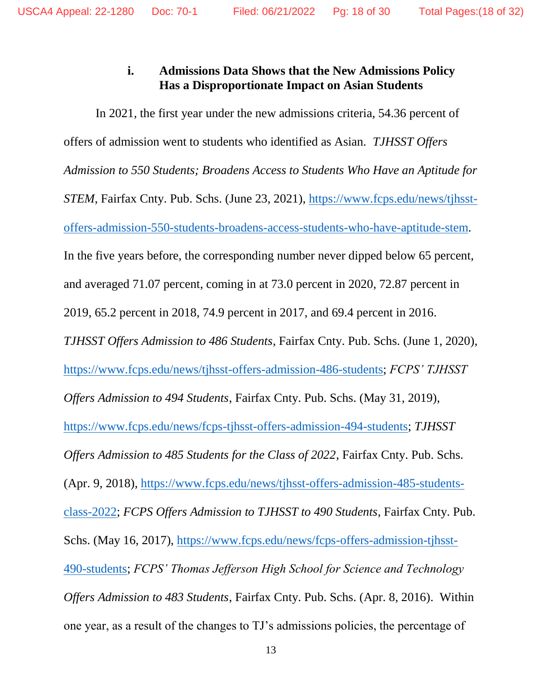# **i. Admissions Data Shows that the New Admissions Policy Has a Disproportionate Impact on Asian Students**

In 2021, the first year under the new admissions criteria, 54.36 percent of offers of admission went to students who identified as Asian. *TJHSST Offers Admission to 550 Students; Broadens Access to Students Who Have an Aptitude for STEM*, Fairfax Cnty. Pub. Schs. (June 23, 2021), [https://www.fcps.edu/news/tjhsst](https://www.fcps.edu/news/tjhsst-offers-admission-550-students-broadens-access-students-who-have-aptitude-stem)[offers-admission-550-students-broadens-access-students-who-have-aptitude-stem.](https://www.fcps.edu/news/tjhsst-offers-admission-550-students-broadens-access-students-who-have-aptitude-stem) In the five years before, the corresponding number never dipped below 65 percent, and averaged 71.07 percent, coming in at 73.0 percent in 2020, 72.87 percent in 2019, 65.2 percent in 2018, 74.9 percent in 2017, and 69.4 percent in 2016. *TJHSST Offers Admission to 486 Students*, Fairfax Cnty. Pub. Schs. (June 1, 2020), [https://www.fcps.edu/news/tjhsst-offers-admission-486-students;](https://www.fcps.edu/news/tjhsst-offers-admission-486-students) *FCPS' TJHSST Offers Admission to 494 Students*, Fairfax Cnty. Pub. Schs. (May 31, 2019), [https://www.fcps.edu/news/fcps-tjhsst-offers-admission-494-students;](https://www.fcps.edu/news/fcps-tjhsst-offers-admission-494-students) *TJHSST Offers Admission to 485 Students for the Class of 2022*, Fairfax Cnty. Pub. Schs. (Apr. 9, 2018), [https://www.fcps.edu/news/tjhsst-offers-admission-485-students](https://www.fcps.edu/news/tjhsst-offers-admission-485-students-class-2022)[class-2022;](https://www.fcps.edu/news/tjhsst-offers-admission-485-students-class-2022) *FCPS Offers Admission to TJHSST to 490 Students*, Fairfax Cnty. Pub. Schs. (May 16, 2017), [https://www.fcps.edu/news/fcps-offers-admission-tjhsst-](https://www.fcps.edu/news/fcps-offers-admission-tjhsst-490-students)[490-students;](https://www.fcps.edu/news/fcps-offers-admission-tjhsst-490-students) *FCPS' Thomas Jefferson High School for Science and Technology Offers Admission to 483 Students*, Fairfax Cnty. Pub. Schs. (Apr. 8, 2016). Within one year, as a result of the changes to TJ's admissions policies, the percentage of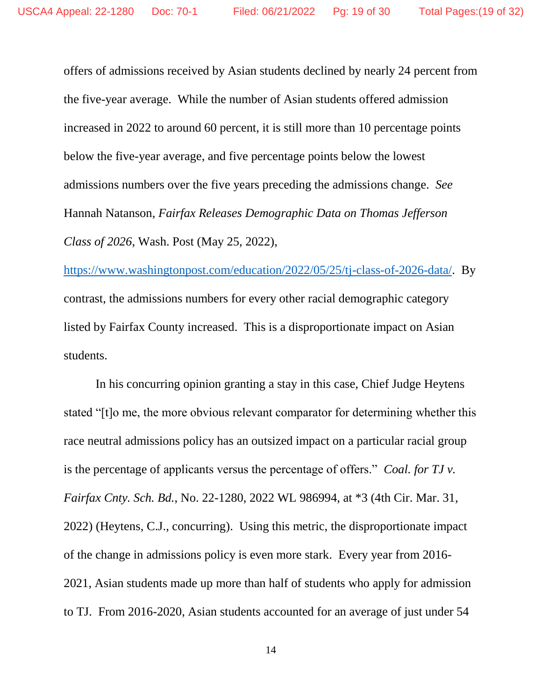offers of admissions received by Asian students declined by nearly 24 percent from the five-year average. While the number of Asian students offered admission increased in 2022 to around 60 percent, it is still more than 10 percentage points below the five-year average, and five percentage points below the lowest admissions numbers over the five years preceding the admissions change. *See*  Hannah Natanson, *Fairfax Releases Demographic Data on Thomas Jefferson Class of 2026*, Wash. Post (May 25, 2022),

[https://www.washingtonpost.com/education/2022/05/25/tj-class-of-2026-data/.](https://www.washingtonpost.com/education/2022/05/25/tj-class-of-2026-data/) By contrast, the admissions numbers for every other racial demographic category listed by Fairfax County increased. This is a disproportionate impact on Asian students.

In his concurring opinion granting a stay in this case, Chief Judge Heytens stated "[t]o me, the more obvious relevant comparator for determining whether this race neutral admissions policy has an outsized impact on a particular racial group is the percentage of applicants versus the percentage of offers." *Coal. for TJ v. Fairfax Cnty. Sch. Bd.*, No. 22-1280, 2022 WL 986994, at \*3 (4th Cir. Mar. 31, 2022) (Heytens, C.J., concurring).Using this metric, the disproportionate impact of the change in admissions policy is even more stark. Every year from 2016- 2021, Asian students made up more than half of students who apply for admission to TJ. From 2016-2020, Asian students accounted for an average of just under 54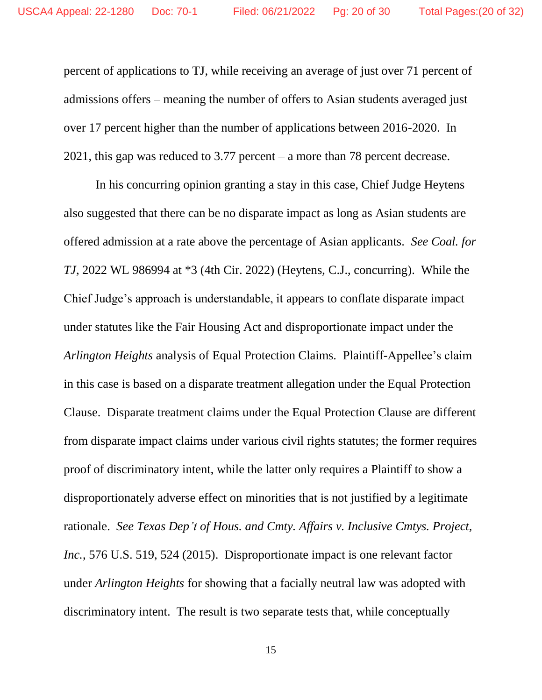percent of applications to TJ, while receiving an average of just over 71 percent of admissions offers – meaning the number of offers to Asian students averaged just over 17 percent higher than the number of applications between 2016-2020. In 2021, this gap was reduced to 3.77 percent – a more than 78 percent decrease.

In his concurring opinion granting a stay in this case, Chief Judge Heytens also suggested that there can be no disparate impact as long as Asian students are offered admission at a rate above the percentage of Asian applicants. *See Coal. for TJ*, 2022 WL 986994 at \*3 (4th Cir. 2022) (Heytens, C.J., concurring). While the Chief Judge's approach is understandable, it appears to conflate disparate impact under statutes like the Fair Housing Act and disproportionate impact under the *Arlington Heights* analysis of Equal Protection Claims. Plaintiff-Appellee's claim in this case is based on a disparate treatment allegation under the Equal Protection Clause. Disparate treatment claims under the Equal Protection Clause are different from disparate impact claims under various civil rights statutes; the former requires proof of discriminatory intent, while the latter only requires a Plaintiff to show a disproportionately adverse effect on minorities that is not justified by a legitimate rationale. *See Texas Dep't of Hous. and Cmty. Affairs v. Inclusive Cmtys. Project, Inc.*, 576 U.S. 519, 524 (2015). Disproportionate impact is one relevant factor under *Arlington Heights* for showing that a facially neutral law was adopted with discriminatory intent. The result is two separate tests that, while conceptually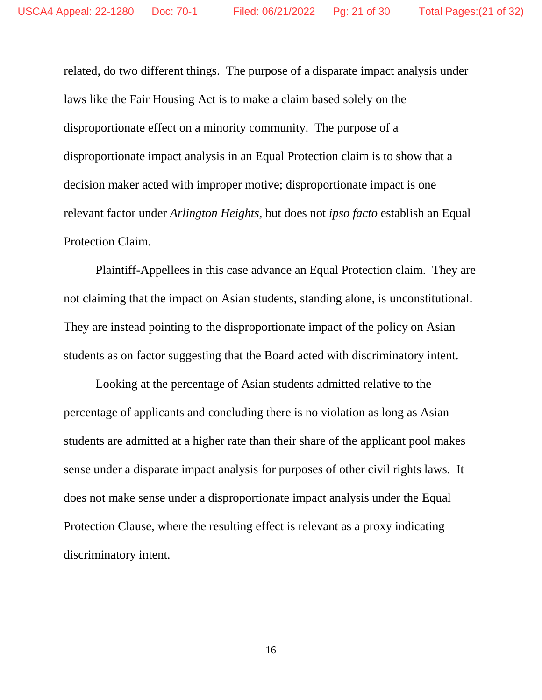related, do two different things. The purpose of a disparate impact analysis under laws like the Fair Housing Act is to make a claim based solely on the disproportionate effect on a minority community. The purpose of a disproportionate impact analysis in an Equal Protection claim is to show that a decision maker acted with improper motive; disproportionate impact is one relevant factor under *Arlington Heights*, but does not *ipso facto* establish an Equal Protection Claim.

Plaintiff-Appellees in this case advance an Equal Protection claim. They are not claiming that the impact on Asian students, standing alone, is unconstitutional. They are instead pointing to the disproportionate impact of the policy on Asian students as on factor suggesting that the Board acted with discriminatory intent.

Looking at the percentage of Asian students admitted relative to the percentage of applicants and concluding there is no violation as long as Asian students are admitted at a higher rate than their share of the applicant pool makes sense under a disparate impact analysis for purposes of other civil rights laws. It does not make sense under a disproportionate impact analysis under the Equal Protection Clause, where the resulting effect is relevant as a proxy indicating discriminatory intent.

16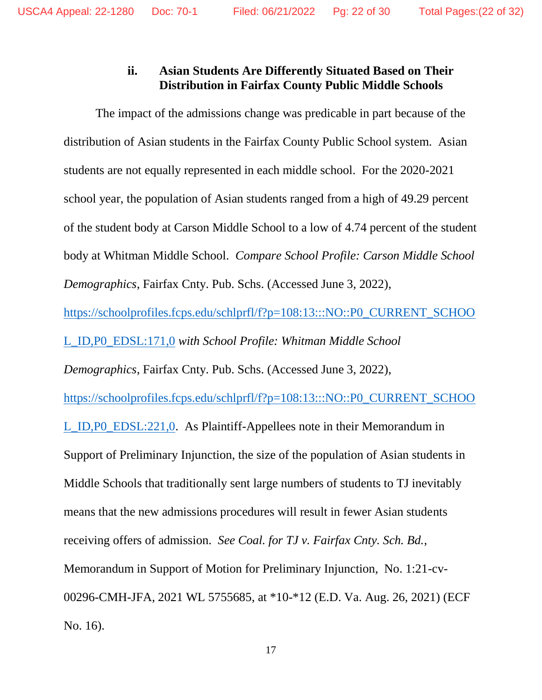## **ii. Asian Students Are Differently Situated Based on Their Distribution in Fairfax County Public Middle Schools**

The impact of the admissions change was predicable in part because of the distribution of Asian students in the Fairfax County Public School system. Asian students are not equally represented in each middle school. For the 2020-2021 school year, the population of Asian students ranged from a high of 49.29 percent of the student body at Carson Middle School to a low of 4.74 percent of the student body at Whitman Middle School. *Compare School Profile: Carson Middle School Demographics*, Fairfax Cnty. Pub. Schs. (Accessed June 3, 2022),

[https://schoolprofiles.fcps.edu/schlprfl/f?p=108:13:::NO::P0\\_CURRENT\\_SCHOO](https://schoolprofiles.fcps.edu/schlprfl/f?p=108:13:::NO::P0_CURRENT_SCHOOL_ID,P0_EDSL:171,0)

[L\\_ID,P0\\_EDSL:171,0](https://schoolprofiles.fcps.edu/schlprfl/f?p=108:13:::NO::P0_CURRENT_SCHOOL_ID,P0_EDSL:171,0) *with School Profile: Whitman Middle School* 

*Demographics*, Fairfax Cnty. Pub. Schs. (Accessed June 3, 2022),

[https://schoolprofiles.fcps.edu/schlprfl/f?p=108:13:::NO::P0\\_CURRENT\\_SCHOO](https://schoolprofiles.fcps.edu/schlprfl/f?p=108:13:::NO::P0_CURRENT_SCHOOL_ID,P0_EDSL:221,0)

[L\\_ID,P0\\_EDSL:221,0.](https://schoolprofiles.fcps.edu/schlprfl/f?p=108:13:::NO::P0_CURRENT_SCHOOL_ID,P0_EDSL:221,0) As Plaintiff-Appellees note in their Memorandum in Support of Preliminary Injunction, the size of the population of Asian students in Middle Schools that traditionally sent large numbers of students to TJ inevitably means that the new admissions procedures will result in fewer Asian students receiving offers of admission. *See Coal. for TJ v. Fairfax Cnty. Sch. Bd.*, Memorandum in Support of Motion for Preliminary Injunction, No. 1:21-cv-00296-CMH-JFA, 2021 WL 5755685, at \*10-\*12 (E.D. Va. Aug. 26, 2021) (ECF No. 16).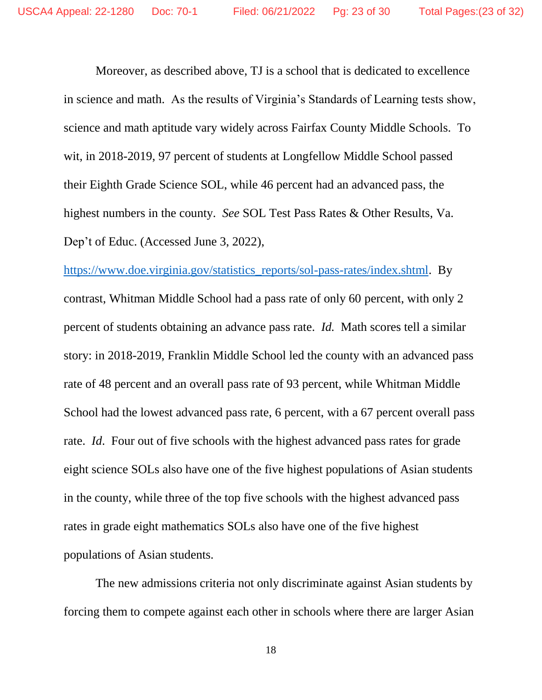Moreover, as described above, TJ is a school that is dedicated to excellence in science and math. As the results of Virginia's Standards of Learning tests show, science and math aptitude vary widely across Fairfax County Middle Schools. To wit, in 2018-2019, 97 percent of students at Longfellow Middle School passed their Eighth Grade Science SOL, while 46 percent had an advanced pass, the highest numbers in the county. *See* SOL Test Pass Rates & Other Results, Va. Dep't of Educ. (Accessed June 3, 2022),

[https://www.doe.virginia.gov/statistics\\_reports/sol-pass-rates/index.shtml.](https://www.doe.virginia.gov/statistics_reports/sol-pass-rates/index.shtml) By contrast, Whitman Middle School had a pass rate of only 60 percent, with only 2 percent of students obtaining an advance pass rate. *Id.* Math scores tell a similar story: in 2018-2019, Franklin Middle School led the county with an advanced pass rate of 48 percent and an overall pass rate of 93 percent, while Whitman Middle School had the lowest advanced pass rate, 6 percent, with a 67 percent overall pass rate. *Id*. Four out of five schools with the highest advanced pass rates for grade eight science SOLs also have one of the five highest populations of Asian students in the county, while three of the top five schools with the highest advanced pass rates in grade eight mathematics SOLs also have one of the five highest populations of Asian students.

The new admissions criteria not only discriminate against Asian students by forcing them to compete against each other in schools where there are larger Asian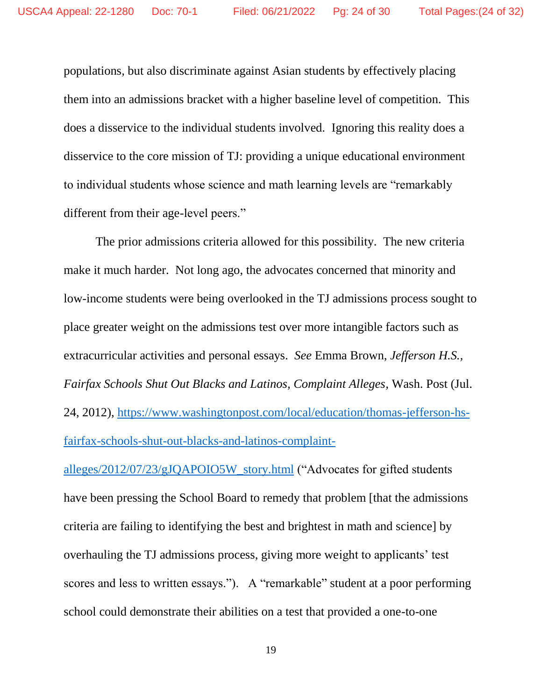populations, but also discriminate against Asian students by effectively placing them into an admissions bracket with a higher baseline level of competition. This does a disservice to the individual students involved. Ignoring this reality does a disservice to the core mission of TJ: providing a unique educational environment to individual students whose science and math learning levels are "remarkably different from their age-level peers."

The prior admissions criteria allowed for this possibility. The new criteria make it much harder. Not long ago, the advocates concerned that minority and low-income students were being overlooked in the TJ admissions process sought to place greater weight on the admissions test over more intangible factors such as extracurricular activities and personal essays. *See* Emma Brown, *Jefferson H.S., Fairfax Schools Shut Out Blacks and Latinos, Complaint Alleges*, Wash. Post (Jul. 24, 2012), [https://www.washingtonpost.com/local/education/thomas-jefferson-hs](https://www.washingtonpost.com/local/education/thomas-jefferson-hs-fairfax-schools-shut-out-blacks-and-latinos-complaint-alleges/2012/07/23/gJQAPOIO5W_story.html)[fairfax-schools-shut-out-blacks-and-latinos-complaint-](https://www.washingtonpost.com/local/education/thomas-jefferson-hs-fairfax-schools-shut-out-blacks-and-latinos-complaint-alleges/2012/07/23/gJQAPOIO5W_story.html)

[alleges/2012/07/23/gJQAPOIO5W\\_story.html](https://www.washingtonpost.com/local/education/thomas-jefferson-hs-fairfax-schools-shut-out-blacks-and-latinos-complaint-alleges/2012/07/23/gJQAPOIO5W_story.html) ("Advocates for gifted students have been pressing the School Board to remedy that problem [that the admissions criteria are failing to identifying the best and brightest in math and science] by overhauling the TJ admissions process, giving more weight to applicants' test scores and less to written essays."). A "remarkable" student at a poor performing school could demonstrate their abilities on a test that provided a one-to-one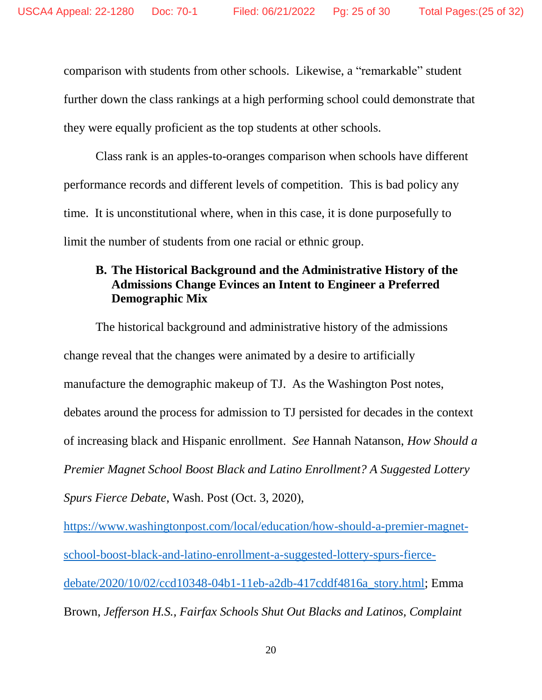comparison with students from other schools. Likewise, a "remarkable" student further down the class rankings at a high performing school could demonstrate that they were equally proficient as the top students at other schools.

Class rank is an apples-to-oranges comparison when schools have different performance records and different levels of competition. This is bad policy any time. It is unconstitutional where, when in this case, it is done purposefully to limit the number of students from one racial or ethnic group.

### **B. The Historical Background and the Administrative History of the Admissions Change Evinces an Intent to Engineer a Preferred Demographic Mix**

The historical background and administrative history of the admissions change reveal that the changes were animated by a desire to artificially manufacture the demographic makeup of TJ. As the Washington Post notes, debates around the process for admission to TJ persisted for decades in the context of increasing black and Hispanic enrollment. *See* Hannah Natanson, *How Should a Premier Magnet School Boost Black and Latino Enrollment? A Suggested Lottery Spurs Fierce Debate*, Wash. Post (Oct. 3, 2020),

[https://www.washingtonpost.com/local/education/how-should-a-premier-magnet](https://www.washingtonpost.com/local/education/how-should-a-premier-magnet-school-boost-black-and-latino-enrollment-a-suggested-lottery-spurs-fierce-debate/2020/10/02/ccd10348-04b1-11eb-a2db-417cddf4816a_story.html)[school-boost-black-and-latino-enrollment-a-suggested-lottery-spurs-fierce](https://www.washingtonpost.com/local/education/how-should-a-premier-magnet-school-boost-black-and-latino-enrollment-a-suggested-lottery-spurs-fierce-debate/2020/10/02/ccd10348-04b1-11eb-a2db-417cddf4816a_story.html)[debate/2020/10/02/ccd10348-04b1-11eb-a2db-417cddf4816a\\_story.html;](https://www.washingtonpost.com/local/education/how-should-a-premier-magnet-school-boost-black-and-latino-enrollment-a-suggested-lottery-spurs-fierce-debate/2020/10/02/ccd10348-04b1-11eb-a2db-417cddf4816a_story.html) Emma Brown, *Jefferson H.S., Fairfax Schools Shut Out Blacks and Latinos, Complaint*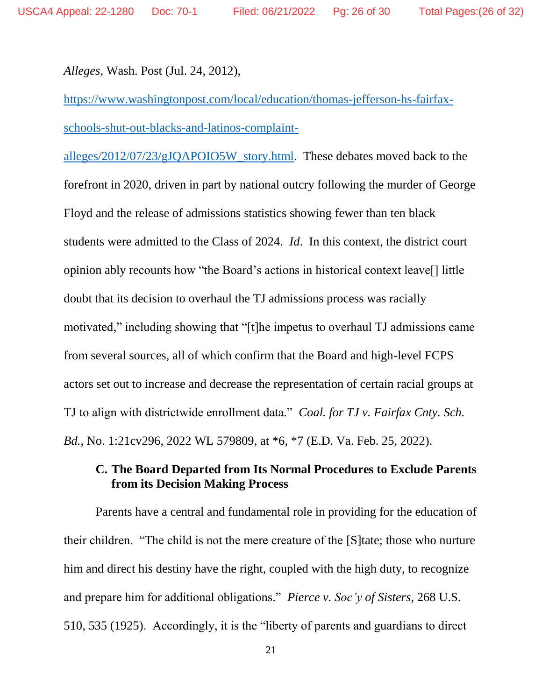*Alleges*, Wash. Post (Jul. 24, 2012),

[https://www.washingtonpost.com/local/education/thomas-jefferson-hs-fairfax](https://www.washingtonpost.com/local/education/thomas-jefferson-hs-fairfax-schools-shut-out-blacks-and-latinos-complaint-alleges/2012/07/23/gJQAPOIO5W_story.html)[schools-shut-out-blacks-and-latinos-complaint-](https://www.washingtonpost.com/local/education/thomas-jefferson-hs-fairfax-schools-shut-out-blacks-and-latinos-complaint-alleges/2012/07/23/gJQAPOIO5W_story.html)

[alleges/2012/07/23/gJQAPOIO5W\\_story.html.](https://www.washingtonpost.com/local/education/thomas-jefferson-hs-fairfax-schools-shut-out-blacks-and-latinos-complaint-alleges/2012/07/23/gJQAPOIO5W_story.html) These debates moved back to the forefront in 2020, driven in part by national outcry following the murder of George Floyd and the release of admissions statistics showing fewer than ten black students were admitted to the Class of 2024. *Id*. In this context, the district court opinion ably recounts how "the Board's actions in historical context leave[] little doubt that its decision to overhaul the TJ admissions process was racially motivated," including showing that "[t]he impetus to overhaul TJ admissions came from several sources, all of which confirm that the Board and high-level FCPS actors set out to increase and decrease the representation of certain racial groups at TJ to align with districtwide enrollment data." *Coal. for TJ v. Fairfax Cnty. Sch. Bd.*, No. 1:21cv296, 2022 WL 579809, at \*6, \*7 (E.D. Va. Feb. 25, 2022).

## **C. The Board Departed from Its Normal Procedures to Exclude Parents from its Decision Making Process**

Parents have a central and fundamental role in providing for the education of their children. "The child is not the mere creature of the [S]tate; those who nurture him and direct his destiny have the right, coupled with the high duty, to recognize and prepare him for additional obligations." *Pierce v. Soc'y of Sisters*, 268 U.S. 510, 535 (1925). Accordingly, it is the "liberty of parents and guardians to direct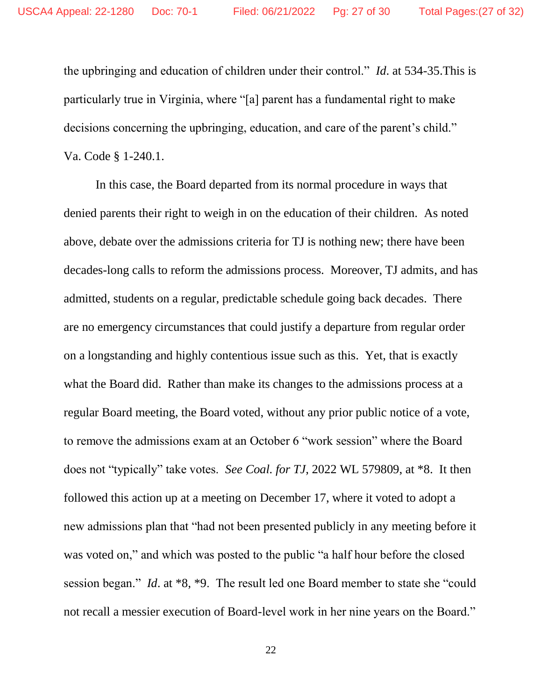the upbringing and education of children under their control." *Id*. at 534-35.This is particularly true in Virginia, where "[a] parent has a fundamental right to make decisions concerning the upbringing, education, and care of the parent's child." Va. Code § 1-240.1.

In this case, the Board departed from its normal procedure in ways that denied parents their right to weigh in on the education of their children. As noted above, debate over the admissions criteria for TJ is nothing new; there have been decades-long calls to reform the admissions process. Moreover, TJ admits, and has admitted, students on a regular, predictable schedule going back decades. There are no emergency circumstances that could justify a departure from regular order on a longstanding and highly contentious issue such as this. Yet, that is exactly what the Board did. Rather than make its changes to the admissions process at a regular Board meeting, the Board voted, without any prior public notice of a vote, to remove the admissions exam at an October 6 "work session" where the Board does not "typically" take votes. *See Coal. for TJ*, 2022 WL 579809, at \*8. It then followed this action up at a meeting on December 17, where it voted to adopt a new admissions plan that "had not been presented publicly in any meeting before it was voted on," and which was posted to the public "a half hour before the closed session began." *Id*. at \*8, \*9. The result led one Board member to state she "could not recall a messier execution of Board-level work in her nine years on the Board."

22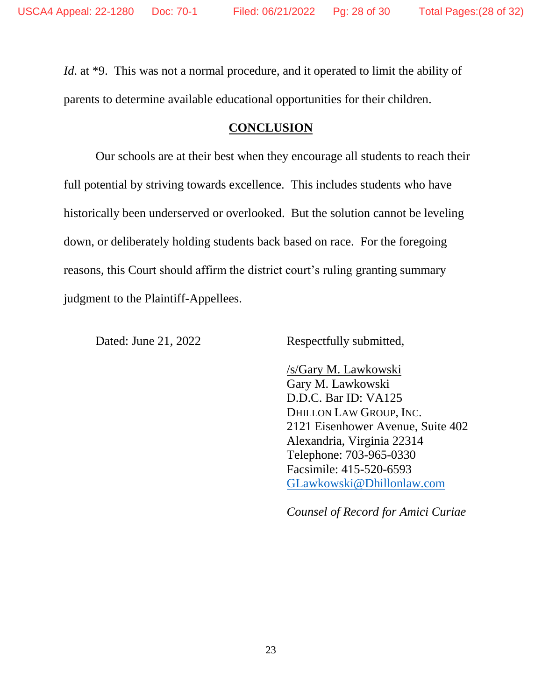*Id.* at \*9. This was not a normal procedure, and it operated to limit the ability of parents to determine available educational opportunities for their children.

### **CONCLUSION**

Our schools are at their best when they encourage all students to reach their full potential by striving towards excellence. This includes students who have historically been underserved or overlooked. But the solution cannot be leveling down, or deliberately holding students back based on race. For the foregoing reasons, this Court should affirm the district court's ruling granting summary judgment to the Plaintiff-Appellees.

Dated: June 21, 2022 Respectfully submitted,

/s/Gary M. Lawkowski Gary M. Lawkowski D.D.C. Bar ID: VA125 DHILLON LAW GROUP, INC. 2121 Eisenhower Avenue, Suite 402 Alexandria, Virginia 22314 Telephone: 703-965-0330 Facsimile: 415-520-6593 [GLawkowski@Dhillonlaw.com](mailto:GLawkowski@Dhillonlaw.com)

*Counsel of Record for Amici Curiae*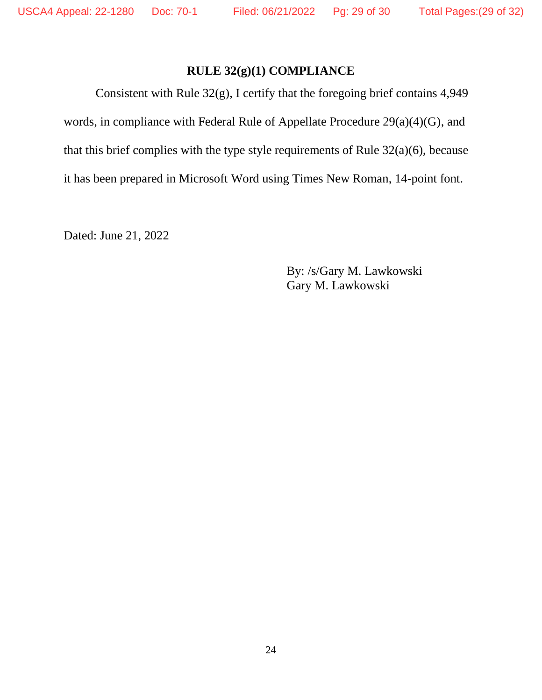## **RULE 32(g)(1) COMPLIANCE**

Consistent with Rule 32(g), I certify that the foregoing brief contains 4,949 words, in compliance with Federal Rule of Appellate Procedure 29(a)(4)(G), and that this brief complies with the type style requirements of Rule 32(a)(6), because it has been prepared in Microsoft Word using Times New Roman, 14-point font.

Dated: June 21, 2022

By: /s/Gary M. Lawkowski Gary M. Lawkowski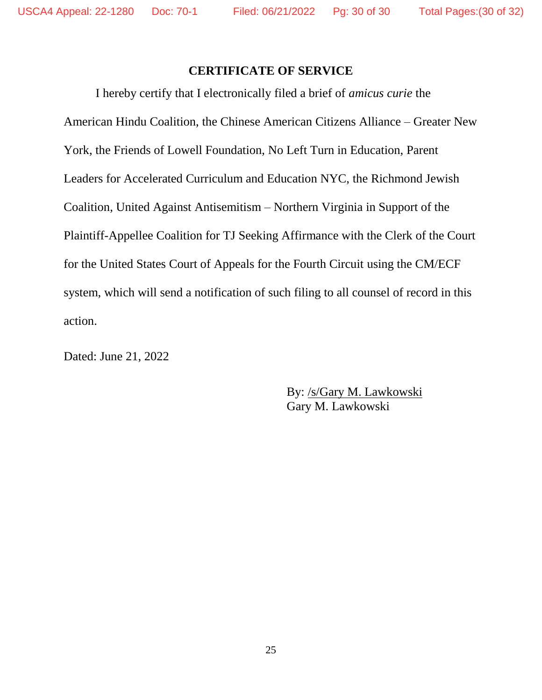## **CERTIFICATE OF SERVICE**

I hereby certify that I electronically filed a brief of *amicus curie* the American Hindu Coalition, the Chinese American Citizens Alliance – Greater New York, the Friends of Lowell Foundation, No Left Turn in Education, Parent Leaders for Accelerated Curriculum and Education NYC, the Richmond Jewish Coalition, United Against Antisemitism – Northern Virginia in Support of the Plaintiff-Appellee Coalition for TJ Seeking Affirmance with the Clerk of the Court for the United States Court of Appeals for the Fourth Circuit using the CM/ECF system, which will send a notification of such filing to all counsel of record in this action.

Dated: June 21, 2022

By: /s/Gary M. Lawkowski Gary M. Lawkowski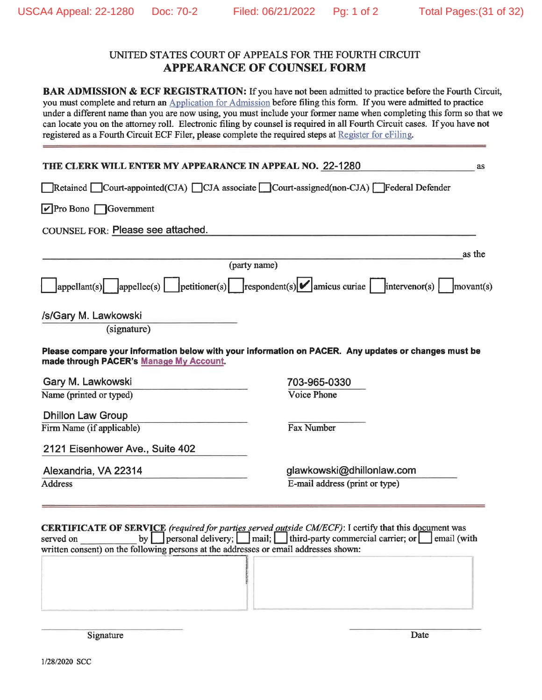#### UNITED STATES COURT OF APPEALS FOR THE FOURTH CIRCUIT **APPEARANCE OF COUNSEL FORM**

BAR ADMISSION & ECF REGISTRATION: If you have not been admitted to practice before the Fourth Circuit, you must complete and return an Application for Admission before filing this form. If you were admitted to practice under a different name than you are now using, you must include your former name when completing this form so that we can locate you on the attorney roll. Electronic filing by counsel is required in all Fourth Circuit cases. If you have not registered as a Fourth Circuit ECF Filer, please complete the required steps at Register for eFiling.

| THE CLERK WILL ENTER MY APPEARANCE IN APPEAL NO. 22-1280 | as                                                                                                                           |
|----------------------------------------------------------|------------------------------------------------------------------------------------------------------------------------------|
|                                                          | Retained Court-appointed(CJA) CJA associate Court-assigned(non-CJA) Federal Defender                                         |
| $\triangledown$ Pro Bono $\bigcap$ Government            |                                                                                                                              |
| COUNSEL FOR: Please see attached.                        |                                                                                                                              |
|                                                          | as the                                                                                                                       |
|                                                          | (party name)                                                                                                                 |
|                                                          | $\vert$ appellant(s) appellee(s) $\vert$ petitioner(s) respondent(s) amicus curiae intervenor(s) $\vert$<br>$ $ movant $(s)$ |
| /s/Gary M. Lawkowski<br>(signature)                      |                                                                                                                              |
| made through PACER's Manage My Account.                  | Please compare your information below with your information on PACER. Any updates or changes must be                         |
| Gary M. Lawkowski                                        | 703-965-0330                                                                                                                 |
| Name (printed or typed)                                  | <b>Voice Phone</b>                                                                                                           |
| <b>Dhillon Law Group</b>                                 |                                                                                                                              |
| Firm Name (if applicable)                                | <b>Fax Number</b>                                                                                                            |
| 2121 Eisenhower Ave., Suite 402                          |                                                                                                                              |
| Alexandria, VA 22314                                     | glawkowski@dhillonlaw.com                                                                                                    |
| <b>Address</b>                                           | E-mail address (print or type)                                                                                               |
|                                                          |                                                                                                                              |
|                                                          | <b>CERTIFICATE OF SERVICE</b> <i>(required for parties served outside CM/FCF)</i> : Logitify that this document was          |

by personal delivery; mail; third-party commercial carrier; or mail (with served on written consent) on the following persons at the addresses or email addresses shown:

Signature

Date